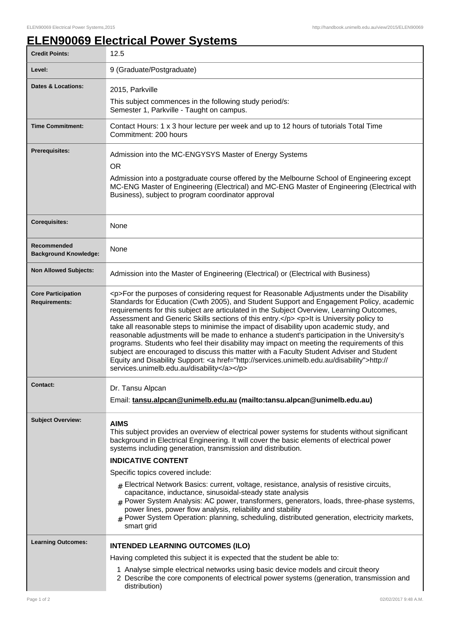## **ELEN90069 Electrical Power Systems**

| <b>Credit Points:</b>                             | 12.5                                                                                                                                                                                                                                                                                                                                                                                                                                                                                                                                                                                                                                                                                                                                                                                                                                                                                                                         |
|---------------------------------------------------|------------------------------------------------------------------------------------------------------------------------------------------------------------------------------------------------------------------------------------------------------------------------------------------------------------------------------------------------------------------------------------------------------------------------------------------------------------------------------------------------------------------------------------------------------------------------------------------------------------------------------------------------------------------------------------------------------------------------------------------------------------------------------------------------------------------------------------------------------------------------------------------------------------------------------|
| Level:                                            | 9 (Graduate/Postgraduate)                                                                                                                                                                                                                                                                                                                                                                                                                                                                                                                                                                                                                                                                                                                                                                                                                                                                                                    |
| <b>Dates &amp; Locations:</b>                     | 2015, Parkville                                                                                                                                                                                                                                                                                                                                                                                                                                                                                                                                                                                                                                                                                                                                                                                                                                                                                                              |
|                                                   | This subject commences in the following study period/s:<br>Semester 1, Parkville - Taught on campus.                                                                                                                                                                                                                                                                                                                                                                                                                                                                                                                                                                                                                                                                                                                                                                                                                         |
| <b>Time Commitment:</b>                           | Contact Hours: 1 x 3 hour lecture per week and up to 12 hours of tutorials Total Time<br>Commitment: 200 hours                                                                                                                                                                                                                                                                                                                                                                                                                                                                                                                                                                                                                                                                                                                                                                                                               |
| Prerequisites:                                    | Admission into the MC-ENGYSYS Master of Energy Systems<br><b>OR</b><br>Admission into a postgraduate course offered by the Melbourne School of Engineering except<br>MC-ENG Master of Engineering (Electrical) and MC-ENG Master of Engineering (Electrical with<br>Business), subject to program coordinator approval                                                                                                                                                                                                                                                                                                                                                                                                                                                                                                                                                                                                       |
| <b>Corequisites:</b>                              | None                                                                                                                                                                                                                                                                                                                                                                                                                                                                                                                                                                                                                                                                                                                                                                                                                                                                                                                         |
| Recommended<br><b>Background Knowledge:</b>       | None                                                                                                                                                                                                                                                                                                                                                                                                                                                                                                                                                                                                                                                                                                                                                                                                                                                                                                                         |
| <b>Non Allowed Subjects:</b>                      | Admission into the Master of Engineering (Electrical) or (Electrical with Business)                                                                                                                                                                                                                                                                                                                                                                                                                                                                                                                                                                                                                                                                                                                                                                                                                                          |
| <b>Core Participation</b><br><b>Requirements:</b> | <p>For the purposes of considering request for Reasonable Adjustments under the Disability<br/>Standards for Education (Cwth 2005), and Student Support and Engagement Policy, academic<br/>requirements for this subject are articulated in the Subject Overview, Learning Outcomes,<br/>Assessment and Generic Skills sections of this entry.</p> <p>lt is University policy to<br/>take all reasonable steps to minimise the impact of disability upon academic study, and<br/>reasonable adjustments will be made to enhance a student's participation in the University's<br/>programs. Students who feel their disability may impact on meeting the requirements of this<br/>subject are encouraged to discuss this matter with a Faculty Student Adviser and Student<br/>Equity and Disability Support: &lt; a href="http://services.unimelb.edu.au/disability"&gt;http://<br/>services.unimelb.edu.au/disability</p> |
| Contact:                                          | Dr. Tansu Alpcan<br>Email: tansu.alpcan@unimelb.edu.au (mailto:tansu.alpcan@unimelb.edu.au)                                                                                                                                                                                                                                                                                                                                                                                                                                                                                                                                                                                                                                                                                                                                                                                                                                  |
| <b>Subject Overview:</b>                          | <b>AIMS</b><br>This subject provides an overview of electrical power systems for students without significant<br>background in Electrical Engineering. It will cover the basic elements of electrical power<br>systems including generation, transmission and distribution.<br><b>INDICATIVE CONTENT</b><br>Specific topics covered include:<br>$_{\#}$ Electrical Network Basics: current, voltage, resistance, analysis of resistive circuits,<br>capacitance, inductance, sinusoidal-steady state analysis<br>$#$ Power System Analysis: AC power, transformers, generators, loads, three-phase systems,<br>power lines, power flow analysis, reliability and stability                                                                                                                                                                                                                                                   |
|                                                   | $#$ Power System Operation: planning, scheduling, distributed generation, electricity markets,<br>smart grid                                                                                                                                                                                                                                                                                                                                                                                                                                                                                                                                                                                                                                                                                                                                                                                                                 |
| <b>Learning Outcomes:</b>                         | <b>INTENDED LEARNING OUTCOMES (ILO)</b>                                                                                                                                                                                                                                                                                                                                                                                                                                                                                                                                                                                                                                                                                                                                                                                                                                                                                      |
|                                                   | Having completed this subject it is expected that the student be able to:                                                                                                                                                                                                                                                                                                                                                                                                                                                                                                                                                                                                                                                                                                                                                                                                                                                    |
|                                                   | 1 Analyse simple electrical networks using basic device models and circuit theory<br>2 Describe the core components of electrical power systems (generation, transmission and<br>distribution)                                                                                                                                                                                                                                                                                                                                                                                                                                                                                                                                                                                                                                                                                                                               |